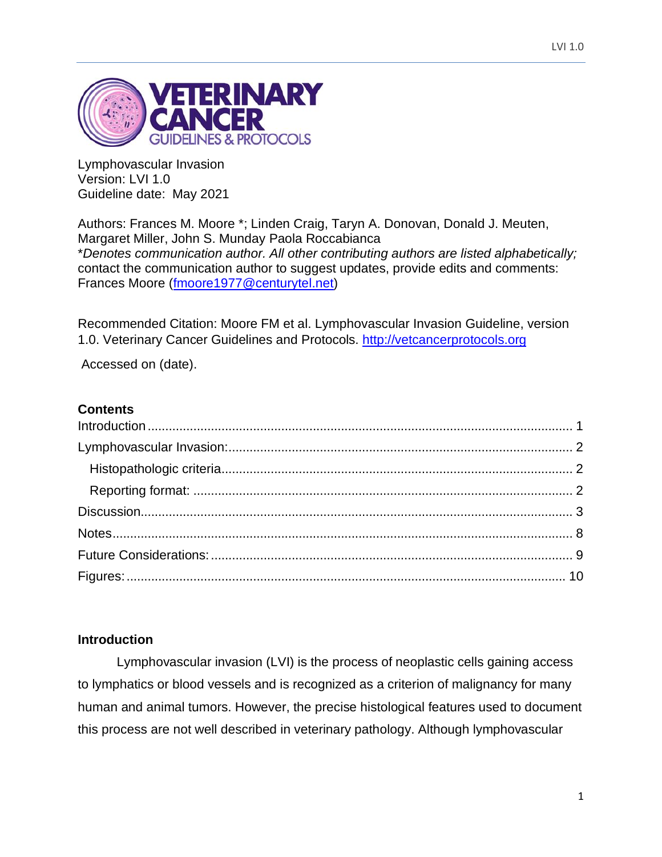

Lymphovascular Invasion Version: LVI 1.0 Guideline date: May 2021

Authors: Frances M. Moore \*; Linden Craig, Taryn A. Donovan, Donald J. Meuten, Margaret Miller, John S. Munday Paola Roccabianca \**Denotes communication author. All other contributing authors are listed alphabetically;*  contact the communication author to suggest updates, provide edits and comments: Frances Moore [\(fmoore1977@centurytel.net\)](mailto:fmoore1977@centurytel.net)

Recommended Citation: Moore FM et al. Lymphovascular Invasion Guideline, version 1.0. Veterinary Cancer Guidelines and Protocols. [http://vetcancerprotocols.org](http://vetcancerprotocols.org/)

Accessed on (date).

### **Contents**

#### <span id="page-0-0"></span>**Introduction**

Lymphovascular invasion (LVI) is the process of neoplastic cells gaining access to lymphatics or blood vessels and is recognized as a criterion of malignancy for many human and animal tumors. However, the precise histological features used to document this process are not well described in veterinary pathology. Although lymphovascular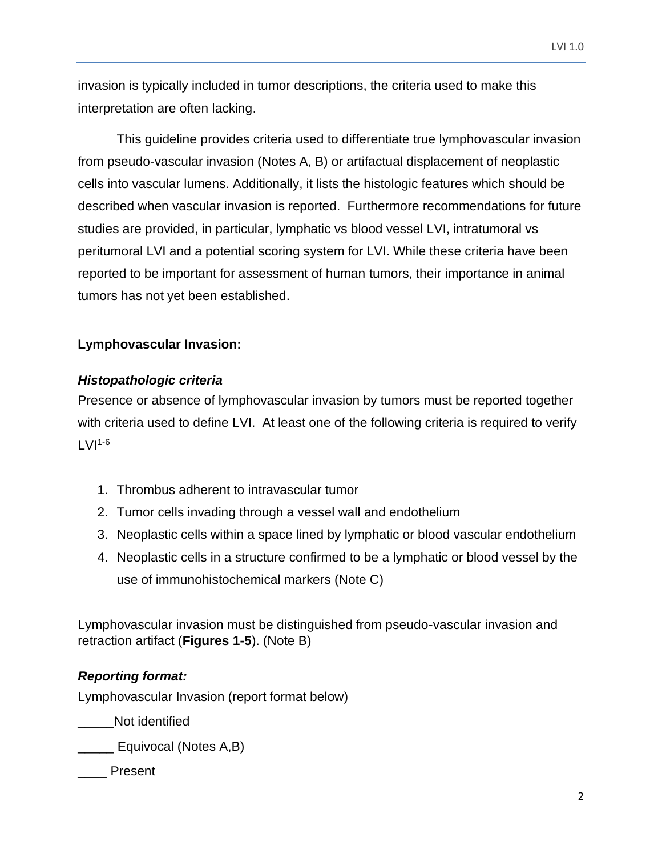invasion is typically included in tumor descriptions, the criteria used to make this interpretation are often lacking.

This guideline provides criteria used to differentiate true lymphovascular invasion from pseudo-vascular invasion (Notes A, B) or artifactual displacement of neoplastic cells into vascular lumens. Additionally, it lists the histologic features which should be described when vascular invasion is reported. Furthermore recommendations for future studies are provided, in particular, lymphatic vs blood vessel LVI, intratumoral vs peritumoral LVI and a potential scoring system for LVI. While these criteria have been reported to be important for assessment of human tumors, their importance in animal tumors has not yet been established.

### <span id="page-1-0"></span>**Lymphovascular Invasion:**

# <span id="page-1-1"></span>*Histopathologic criteria*

Presence or absence of lymphovascular invasion by tumors must be reported together with criteria used to define LVI. At least one of the following criteria is required to verify  $LVI<sup>1-6</sup>$ 

- 1. Thrombus adherent to intravascular tumor
- 2. Tumor cells invading through a vessel wall and endothelium
- 3. Neoplastic cells within a space lined by lymphatic or blood vascular endothelium
- 4. Neoplastic cells in a structure confirmed to be a lymphatic or blood vessel by the use of immunohistochemical markers (Note C)

Lymphovascular invasion must be distinguished from pseudo-vascular invasion and retraction artifact (**Figures 1-5**). (Note B)

# <span id="page-1-2"></span>*Reporting format:*

Lymphovascular Invasion (report format below)

Not identified

\_\_\_\_\_ Equivocal (Notes A,B)

\_\_\_\_ Present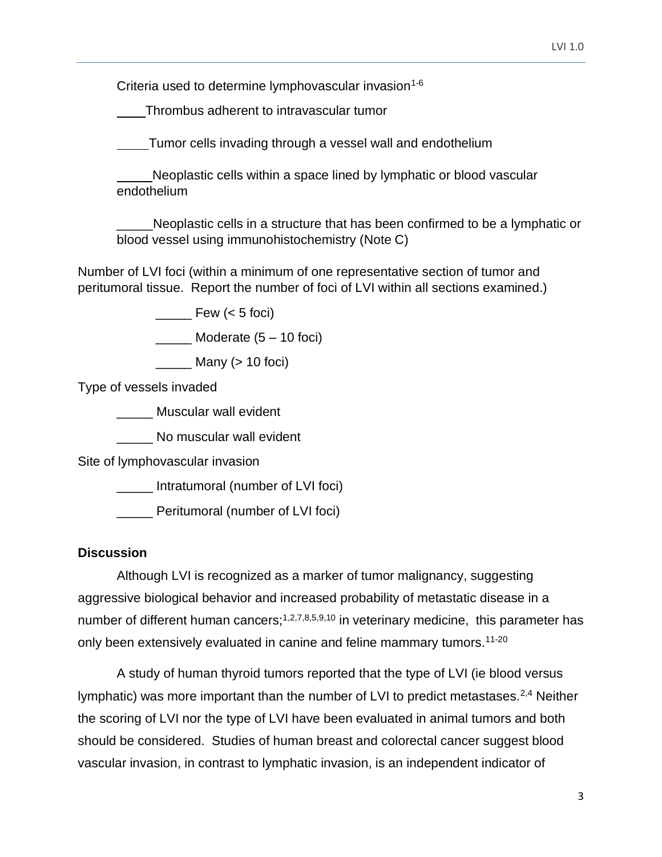Criteria used to determine lymphovascular invasion<sup>1-6</sup>

Thrombus adherent to intravascular tumor

Tumor cells invading through a vessel wall and endothelium

 Neoplastic cells within a space lined by lymphatic or blood vascular endothelium

Neoplastic cells in a structure that has been confirmed to be a lymphatic or blood vessel using immunohistochemistry (Note C)

Number of LVI foci (within a minimum of one representative section of tumor and peritumoral tissue. Report the number of foci of LVI within all sections examined.)

Few  $(< 5$  foci)

 $\frac{1}{2}$  Moderate  $(5 - 10$  foci)

 $\frac{1}{\sqrt{1-\frac{1}{\sqrt{1-\frac{1}{\sqrt{1-\frac{1}{\sqrt{1-\frac{1}{\sqrt{1-\frac{1}{\sqrt{1-\frac{1}{\sqrt{1-\frac{1}{\sqrt{1-\frac{1}{\sqrt{1-\frac{1}{\sqrt{1-\frac{1}{\sqrt{1-\frac{1}{\sqrt{1-\frac{1}{\sqrt{1-\frac{1}{\sqrt{1-\frac{1}{\sqrt{1-\frac{1}{\sqrt{1-\frac{1}{\sqrt{1-\frac{1}{\sqrt{1-\frac{1}{\sqrt{1-\frac{1}{\sqrt{1-\frac{1}{\sqrt{1-\frac{1}{\sqrt{1-\frac{1}{\sqrt{1-\frac{1}{\sqrt{1-\frac{1$ 

Type of vessels invaded

\_\_\_\_\_ Muscular wall evident

\_\_\_\_\_ No muscular wall evident

Site of lymphovascular invasion

\_\_\_\_\_ Intratumoral (number of LVI foci)

\_\_\_\_\_ Peritumoral (number of LVI foci)

### <span id="page-2-0"></span>**Discussion**

Although LVI is recognized as a marker of tumor malignancy, suggesting aggressive biological behavior and increased probability of metastatic disease in a number of different human cancers;<sup>1,2,7,8,5,9,10</sup> in veterinary medicine, this parameter has only been extensively evaluated in canine and feline mammary tumors.<sup>11-20</sup>

A study of human thyroid tumors reported that the type of LVI (ie blood versus lymphatic) was more important than the number of LVI to predict metastases.<sup>2,4</sup> Neither the scoring of LVI nor the type of LVI have been evaluated in animal tumors and both should be considered. Studies of human breast and colorectal cancer suggest blood vascular invasion, in contrast to lymphatic invasion, is an independent indicator of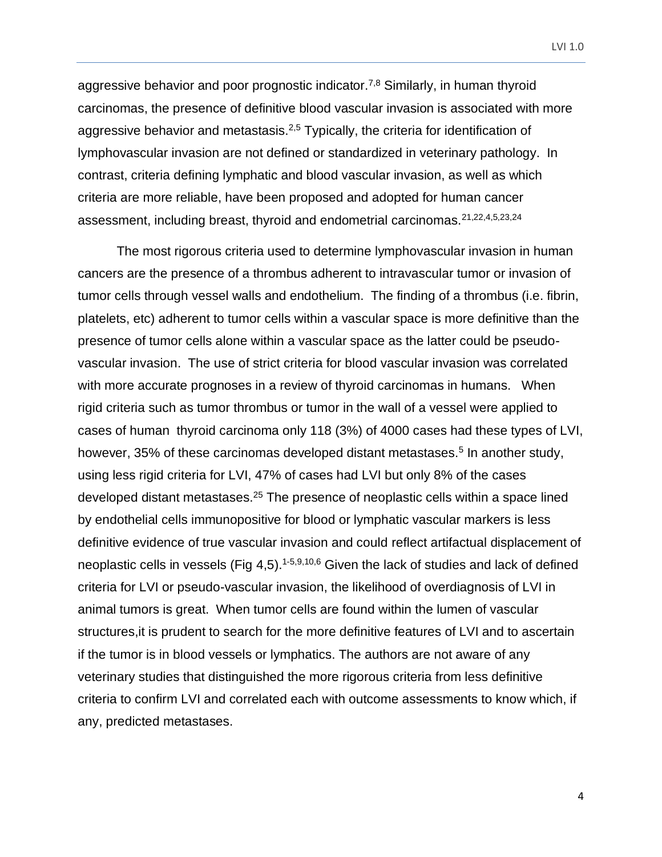aggressive behavior and poor prognostic indicator.<sup>7,8</sup> Similarly, in human thyroid carcinomas, the presence of definitive blood vascular invasion is associated with more aggressive behavior and metastasis.<sup>2,5</sup> Typically, the criteria for identification of lymphovascular invasion are not defined or standardized in veterinary pathology. In contrast, criteria defining lymphatic and blood vascular invasion, as well as which criteria are more reliable, have been proposed and adopted for human cancer assessment, including breast, thyroid and endometrial carcinomas.21,22,4,5,23,24

The most rigorous criteria used to determine lymphovascular invasion in human cancers are the presence of a thrombus adherent to intravascular tumor or invasion of tumor cells through vessel walls and endothelium. The finding of a thrombus (i.e. fibrin, platelets, etc) adherent to tumor cells within a vascular space is more definitive than the presence of tumor cells alone within a vascular space as the latter could be pseudovascular invasion. The use of strict criteria for blood vascular invasion was correlated with more accurate prognoses in a review of thyroid carcinomas in humans. When rigid criteria such as tumor thrombus or tumor in the wall of a vessel were applied to cases of human thyroid carcinoma only 118 (3%) of 4000 cases had these types of LVI, however, 35% of these carcinomas developed distant metastases.<sup>5</sup> In another study, using less rigid criteria for LVI, 47% of cases had LVI but only 8% of the cases developed distant metastases.<sup>25</sup> The presence of neoplastic cells within a space lined by endothelial cells immunopositive for blood or lymphatic vascular markers is less definitive evidence of true vascular invasion and could reflect artifactual displacement of neoplastic cells in vessels (Fig 4,5).<sup>1-5,9,10,6</sup> Given the lack of studies and lack of defined criteria for LVI or pseudo-vascular invasion, the likelihood of overdiagnosis of LVI in animal tumors is great. When tumor cells are found within the lumen of vascular structures,it is prudent to search for the more definitive features of LVI and to ascertain if the tumor is in blood vessels or lymphatics. The authors are not aware of any veterinary studies that distinguished the more rigorous criteria from less definitive criteria to confirm LVI and correlated each with outcome assessments to know which, if any, predicted metastases.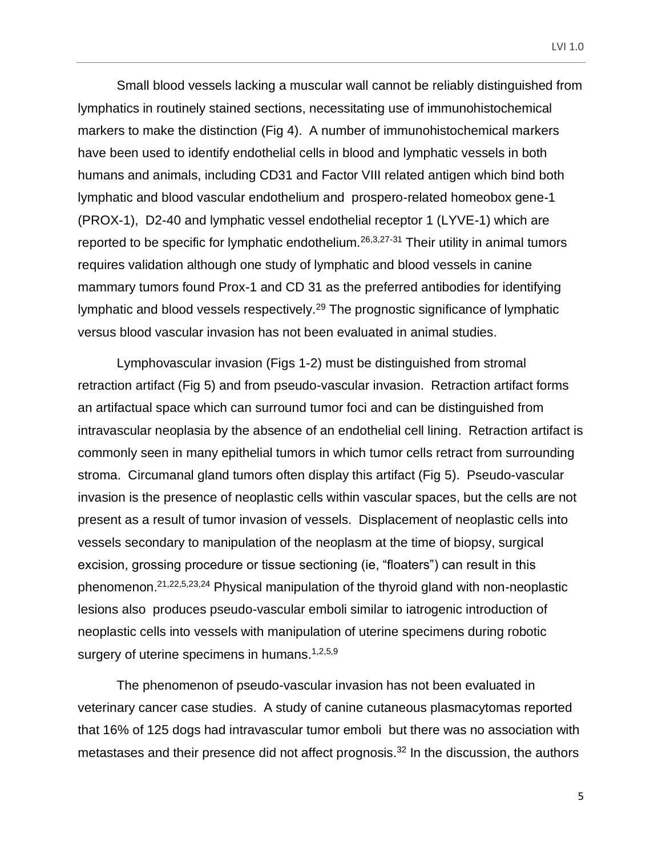Small blood vessels lacking a muscular wall cannot be reliably distinguished from lymphatics in routinely stained sections, necessitating use of immunohistochemical markers to make the distinction (Fig 4). A number of immunohistochemical markers have been used to identify endothelial cells in blood and lymphatic vessels in both humans and animals, including CD31 and Factor VIII related antigen which bind both lymphatic and blood vascular endothelium and prospero-related homeobox gene-1 (PROX-1), D2-40 and lymphatic vessel endothelial receptor 1 (LYVE-1) which are reported to be specific for lymphatic endothelium.<sup>26,3,27-31</sup> Their utility in animal tumors requires validation although one study of lymphatic and blood vessels in canine mammary tumors found Prox-1 and CD 31 as the preferred antibodies for identifying lymphatic and blood vessels respectively.<sup>29</sup> The prognostic significance of lymphatic versus blood vascular invasion has not been evaluated in animal studies.

Lymphovascular invasion (Figs 1-2) must be distinguished from stromal retraction artifact (Fig 5) and from pseudo-vascular invasion. Retraction artifact forms an artifactual space which can surround tumor foci and can be distinguished from intravascular neoplasia by the absence of an endothelial cell lining. Retraction artifact is commonly seen in many epithelial tumors in which tumor cells retract from surrounding stroma. Circumanal gland tumors often display this artifact (Fig 5). Pseudo-vascular invasion is the presence of neoplastic cells within vascular spaces, but the cells are not present as a result of tumor invasion of vessels. Displacement of neoplastic cells into vessels secondary to manipulation of the neoplasm at the time of biopsy, surgical excision, grossing procedure or tissue sectioning (ie, "floaters") can result in this phenomenon.21,22,5,23,24 Physical manipulation of the thyroid gland with non-neoplastic lesions also produces pseudo-vascular emboli similar to iatrogenic introduction of neoplastic cells into vessels with manipulation of uterine specimens during robotic surgery of uterine specimens in humans.<sup>1,2,5,9</sup>

The phenomenon of pseudo-vascular invasion has not been evaluated in veterinary cancer case studies. A study of canine cutaneous plasmacytomas reported that 16% of 125 dogs had intravascular tumor emboli but there was no association with metastases and their presence did not affect prognosis.<sup>32</sup> In the discussion, the authors

5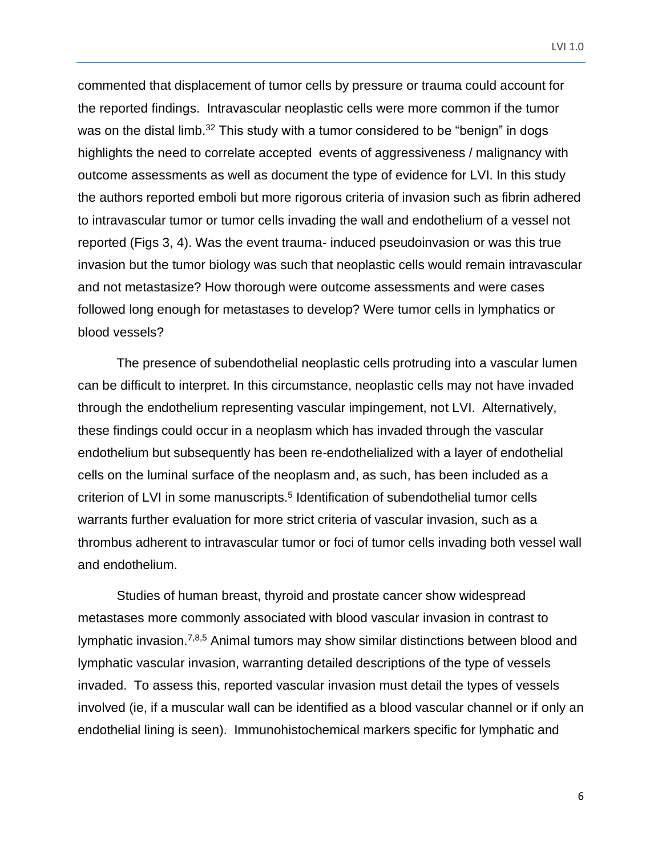commented that displacement of tumor cells by pressure or trauma could account for the reported findings. Intravascular neoplastic cells were more common if the tumor was on the distal limb.<sup>32</sup> This study with a tumor considered to be "benign" in dogs highlights the need to correlate accepted events of aggressiveness / malignancy with outcome assessments as well as document the type of evidence for LVI. In this study the authors reported emboli but more rigorous criteria of invasion such as fibrin adhered to intravascular tumor or tumor cells invading the wall and endothelium of a vessel not reported (Figs 3, 4). Was the event trauma- induced pseudoinvasion or was this true invasion but the tumor biology was such that neoplastic cells would remain intravascular and not metastasize? How thorough were outcome assessments and were cases followed long enough for metastases to develop? Were tumor cells in lymphatics or blood vessels?

The presence of subendothelial neoplastic cells protruding into a vascular lumen can be difficult to interpret. In this circumstance, neoplastic cells may not have invaded through the endothelium representing vascular impingement, not LVI. Alternatively, these findings could occur in a neoplasm which has invaded through the vascular endothelium but subsequently has been re-endothelialized with a layer of endothelial cells on the luminal surface of the neoplasm and, as such, has been included as a criterion of LVI in some manuscripts.<sup>5</sup> Identification of subendothelial tumor cells warrants further evaluation for more strict criteria of vascular invasion, such as a thrombus adherent to intravascular tumor or foci of tumor cells invading both vessel wall and endothelium.

Studies of human breast, thyroid and prostate cancer show widespread metastases more commonly associated with blood vascular invasion in contrast to lymphatic invasion.<sup>7,8,5</sup> Animal tumors may show similar distinctions between blood and lymphatic vascular invasion, warranting detailed descriptions of the type of vessels invaded. To assess this, reported vascular invasion must detail the types of vessels involved (ie, if a muscular wall can be identified as a blood vascular channel or if only an endothelial lining is seen). Immunohistochemical markers specific for lymphatic and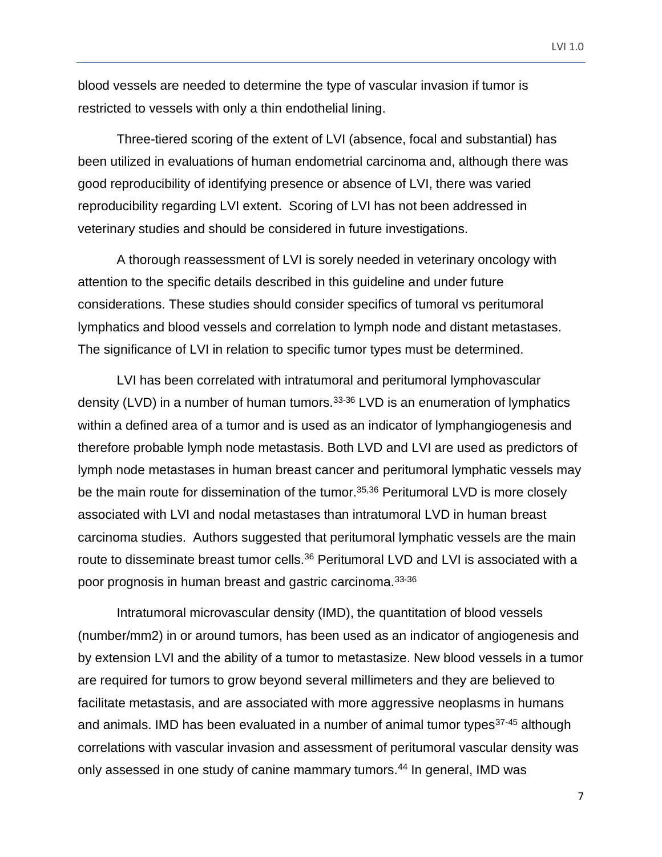blood vessels are needed to determine the type of vascular invasion if tumor is restricted to vessels with only a thin endothelial lining.

Three-tiered scoring of the extent of LVI (absence, focal and substantial) has been utilized in evaluations of human endometrial carcinoma and, although there was good reproducibility of identifying presence or absence of LVI, there was varied reproducibility regarding LVI extent. Scoring of LVI has not been addressed in veterinary studies and should be considered in future investigations.

A thorough reassessment of LVI is sorely needed in veterinary oncology with attention to the specific details described in this guideline and under future considerations. These studies should consider specifics of tumoral vs peritumoral lymphatics and blood vessels and correlation to lymph node and distant metastases. The significance of LVI in relation to specific tumor types must be determined.

LVI has been correlated with intratumoral and peritumoral lymphovascular density (LVD) in a number of human tumors.33-36 LVD is an enumeration of lymphatics within a defined area of a tumor and is used as an indicator of lymphangiogenesis and therefore probable lymph node metastasis. Both LVD and LVI are used as predictors of lymph node metastases in human breast cancer and peritumoral lymphatic vessels may be the main route for dissemination of the tumor.<sup>35,36</sup> Peritumoral LVD is more closely associated with LVI and nodal metastases than intratumoral LVD in human breast carcinoma studies. Authors suggested that peritumoral lymphatic vessels are the main route to disseminate breast tumor cells.<sup>36</sup> Peritumoral LVD and LVI is associated with a poor prognosis in human breast and gastric carcinoma.33-36

Intratumoral microvascular density (IMD), the quantitation of blood vessels (number/mm2) in or around tumors, has been used as an indicator of angiogenesis and by extension LVI and the ability of a tumor to metastasize. New blood vessels in a tumor are required for tumors to grow beyond several millimeters and they are believed to facilitate metastasis, and are associated with more aggressive neoplasms in humans and animals. IMD has been evaluated in a number of animal tumor types $37-45$  although correlations with vascular invasion and assessment of peritumoral vascular density was only assessed in one study of canine mammary tumors.<sup>44</sup> In general, IMD was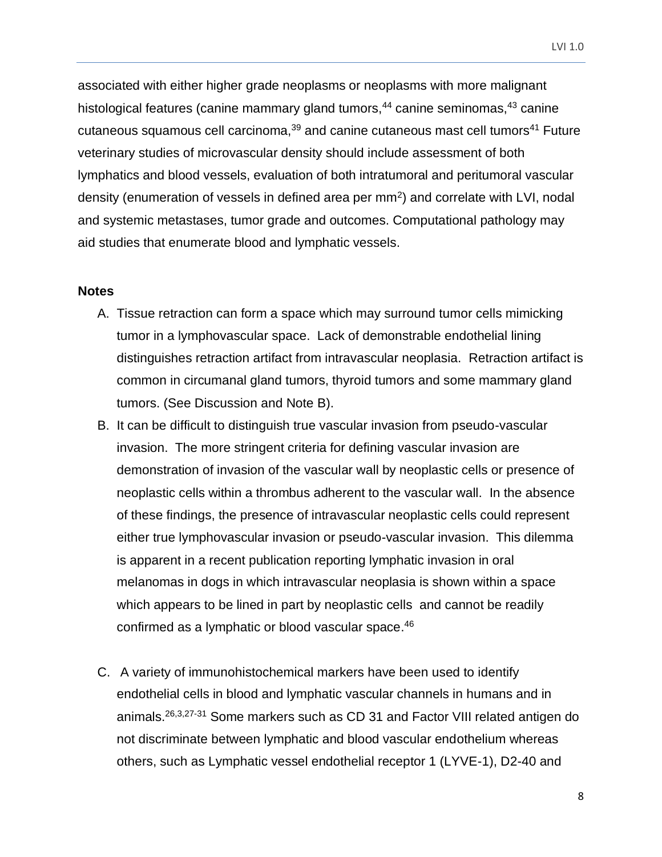LVI 1.0

associated with either higher grade neoplasms or neoplasms with more malignant histological features (canine mammary gland tumors,<sup>44</sup> canine seminomas,<sup>43</sup> canine cutaneous squamous cell carcinoma, $39$  and canine cutaneous mast cell tumors<sup>41</sup> Future veterinary studies of microvascular density should include assessment of both lymphatics and blood vessels, evaluation of both intratumoral and peritumoral vascular density (enumeration of vessels in defined area per  $mm<sup>2</sup>$ ) and correlate with LVI, nodal and systemic metastases, tumor grade and outcomes. Computational pathology may aid studies that enumerate blood and lymphatic vessels.

#### <span id="page-7-0"></span>**Notes**

- A. Tissue retraction can form a space which may surround tumor cells mimicking tumor in a lymphovascular space. Lack of demonstrable endothelial lining distinguishes retraction artifact from intravascular neoplasia. Retraction artifact is common in circumanal gland tumors, thyroid tumors and some mammary gland tumors. (See Discussion and Note B).
- B. It can be difficult to distinguish true vascular invasion from pseudo-vascular invasion. The more stringent criteria for defining vascular invasion are demonstration of invasion of the vascular wall by neoplastic cells or presence of neoplastic cells within a thrombus adherent to the vascular wall. In the absence of these findings, the presence of intravascular neoplastic cells could represent either true lymphovascular invasion or pseudo-vascular invasion. This dilemma is apparent in a recent publication reporting lymphatic invasion in oral melanomas in dogs in which intravascular neoplasia is shown within a space which appears to be lined in part by neoplastic cells and cannot be readily confirmed as a lymphatic or blood vascular space. 46
- C. A variety of immunohistochemical markers have been used to identify endothelial cells in blood and lymphatic vascular channels in humans and in animals.26,3,27-31 Some markers such as CD 31 and Factor VIII related antigen do not discriminate between lymphatic and blood vascular endothelium whereas others, such as Lymphatic vessel endothelial receptor 1 (LYVE-1), D2-40 and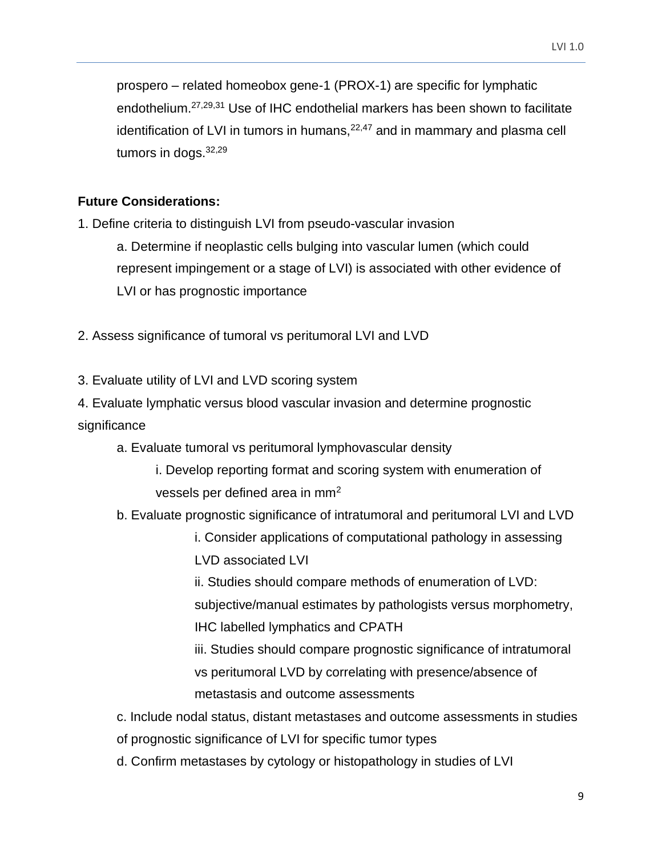prospero – related homeobox gene-1 (PROX-1) are specific for lymphatic endothelium.27,29,31 Use of IHC endothelial markers has been shown to facilitate identification of LVI in tumors in humans, $22,47$  and in mammary and plasma cell tumors in dogs. 32,29

## <span id="page-8-0"></span>**Future Considerations:**

1. Define criteria to distinguish LVI from pseudo-vascular invasion

a. Determine if neoplastic cells bulging into vascular lumen (which could represent impingement or a stage of LVI) is associated with other evidence of LVI or has prognostic importance

2. Assess significance of tumoral vs peritumoral LVI and LVD

3. Evaluate utility of LVI and LVD scoring system

4. Evaluate lymphatic versus blood vascular invasion and determine prognostic significance

- a. Evaluate tumoral vs peritumoral lymphovascular density
	- i. Develop reporting format and scoring system with enumeration of vessels per defined area in mm<sup>2</sup>
- b. Evaluate prognostic significance of intratumoral and peritumoral LVI and LVD
	- i. Consider applications of computational pathology in assessing LVD associated LVI

ii. Studies should compare methods of enumeration of LVD: subjective/manual estimates by pathologists versus morphometry, IHC labelled lymphatics and CPATH

iii. Studies should compare prognostic significance of intratumoral vs peritumoral LVD by correlating with presence/absence of metastasis and outcome assessments

c. Include nodal status, distant metastases and outcome assessments in studies of prognostic significance of LVI for specific tumor types

d. Confirm metastases by cytology or histopathology in studies of LVI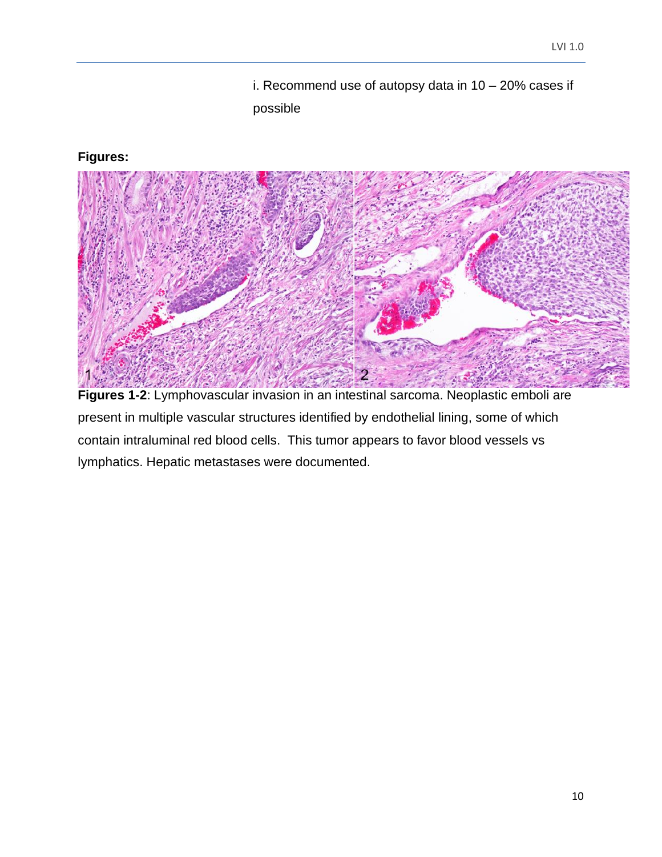i. Recommend use of autopsy data in 10 – 20% cases if possible

## <span id="page-9-0"></span>**Figures:**



**Figures 1-2**: Lymphovascular invasion in an intestinal sarcoma. Neoplastic emboli are present in multiple vascular structures identified by endothelial lining, some of which contain intraluminal red blood cells. This tumor appears to favor blood vessels vs lymphatics. Hepatic metastases were documented.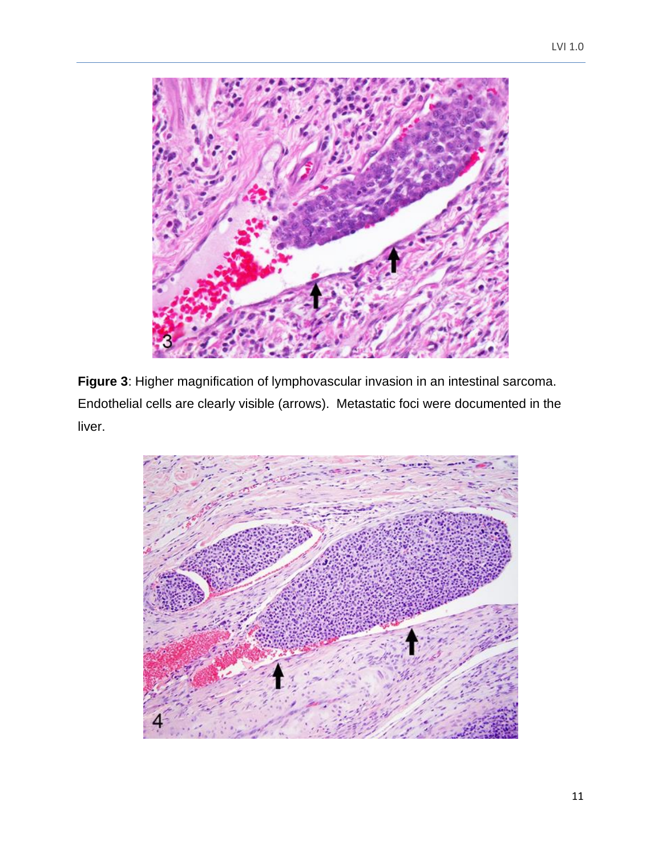

**Figure 3**: Higher magnification of lymphovascular invasion in an intestinal sarcoma. Endothelial cells are clearly visible (arrows). Metastatic foci were documented in the liver.

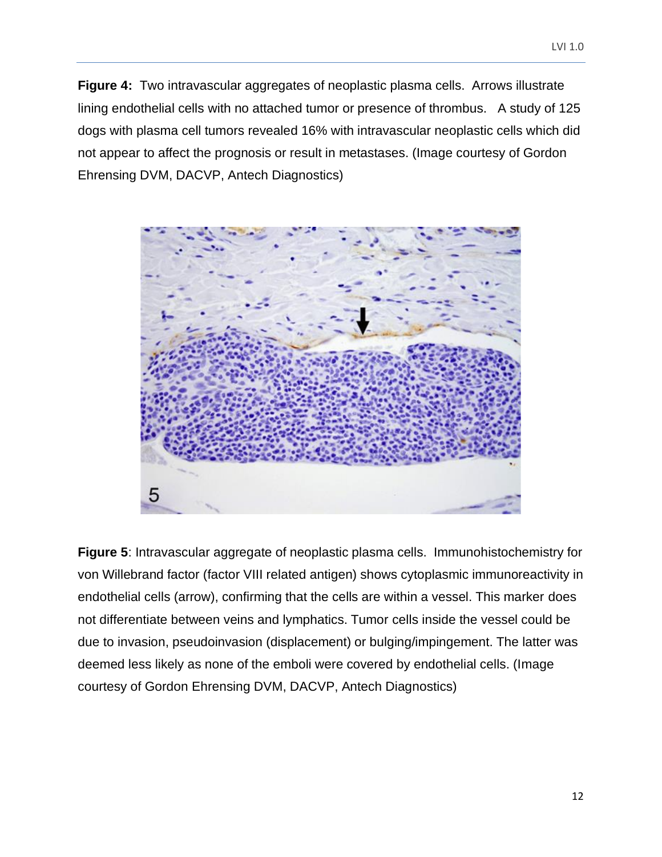**Figure 4:** Two intravascular aggregates of neoplastic plasma cells. Arrows illustrate lining endothelial cells with no attached tumor or presence of thrombus. A study of 125 dogs with plasma cell tumors revealed 16% with intravascular neoplastic cells which did not appear to affect the prognosis or result in metastases. (Image courtesy of Gordon Ehrensing DVM, DACVP, Antech Diagnostics)



**Figure 5**: Intravascular aggregate of neoplastic plasma cells. Immunohistochemistry for von Willebrand factor (factor VIII related antigen) shows cytoplasmic immunoreactivity in endothelial cells (arrow), confirming that the cells are within a vessel. This marker does not differentiate between veins and lymphatics. Tumor cells inside the vessel could be due to invasion, pseudoinvasion (displacement) or bulging/impingement. The latter was deemed less likely as none of the emboli were covered by endothelial cells. (Image courtesy of Gordon Ehrensing DVM, DACVP, Antech Diagnostics)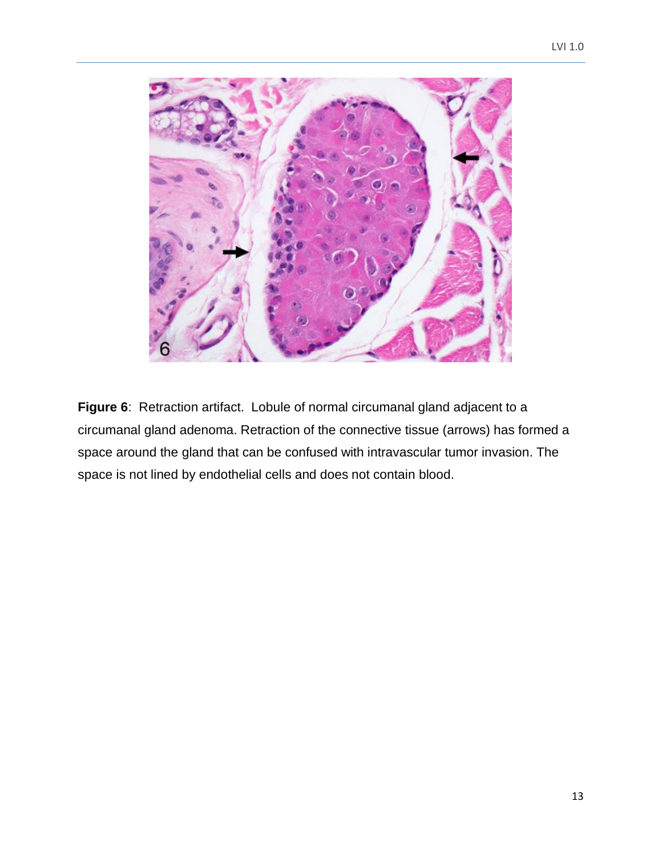

**Figure 6**: Retraction artifact. Lobule of normal circumanal gland adjacent to a circumanal gland adenoma. Retraction of the connective tissue (arrows) has formed a space around the gland that can be confused with intravascular tumor invasion. The space is not lined by endothelial cells and does not contain blood.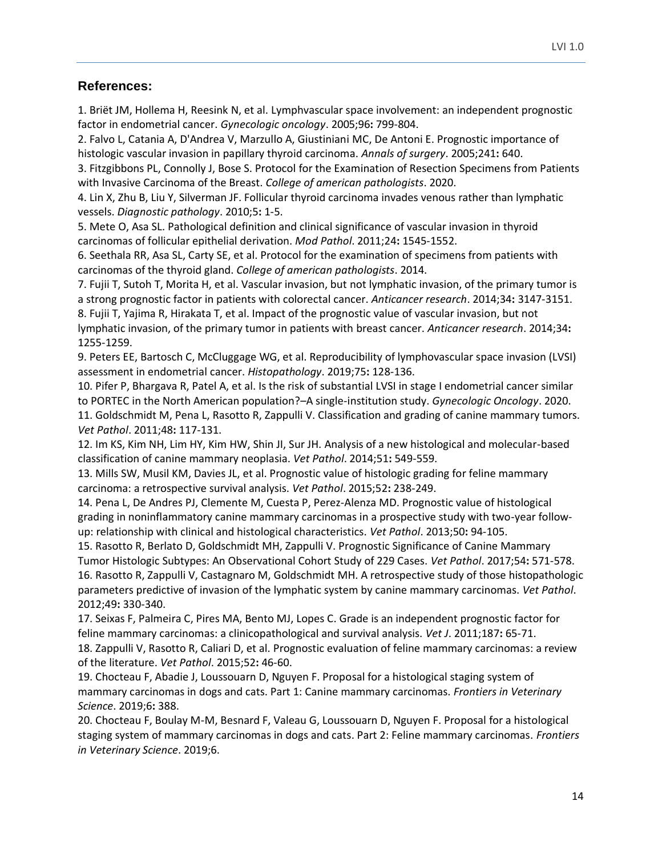#### **References:**

1. Briët JM, Hollema H, Reesink N, et al. Lymphvascular space involvement: an independent prognostic factor in endometrial cancer. *Gynecologic oncology*. 2005;96**:** 799-804.

2. Falvo L, Catania A, D'Andrea V, Marzullo A, Giustiniani MC, De Antoni E. Prognostic importance of histologic vascular invasion in papillary thyroid carcinoma. *Annals of surgery*. 2005;241**:** 640.

3. Fitzgibbons PL, Connolly J, Bose S. Protocol for the Examination of Resection Specimens from Patients with Invasive Carcinoma of the Breast. *College of american pathologists*. 2020.

4. Lin X, Zhu B, Liu Y, Silverman JF. Follicular thyroid carcinoma invades venous rather than lymphatic vessels. *Diagnostic pathology*. 2010;5**:** 1-5.

5. Mete O, Asa SL. Pathological definition and clinical significance of vascular invasion in thyroid carcinomas of follicular epithelial derivation. *Mod Pathol*. 2011;24**:** 1545-1552.

6. Seethala RR, Asa SL, Carty SE, et al. Protocol for the examination of specimens from patients with carcinomas of the thyroid gland. *College of american pathologists*. 2014.

7. Fujii T, Sutoh T, Morita H, et al. Vascular invasion, but not lymphatic invasion, of the primary tumor is a strong prognostic factor in patients with colorectal cancer. *Anticancer research*. 2014;34**:** 3147-3151.

8. Fujii T, Yajima R, Hirakata T, et al. Impact of the prognostic value of vascular invasion, but not lymphatic invasion, of the primary tumor in patients with breast cancer. *Anticancer research*. 2014;34**:**  1255-1259.

9. Peters EE, Bartosch C, McCluggage WG, et al. Reproducibility of lymphovascular space invasion (LVSI) assessment in endometrial cancer. *Histopathology*. 2019;75**:** 128-136.

10. Pifer P, Bhargava R, Patel A, et al. Is the risk of substantial LVSI in stage I endometrial cancer similar to PORTEC in the North American population?–A single-institution study. *Gynecologic Oncology*. 2020. 11. Goldschmidt M, Pena L, Rasotto R, Zappulli V. Classification and grading of canine mammary tumors. *Vet Pathol*. 2011;48**:** 117-131.

12. Im KS, Kim NH, Lim HY, Kim HW, Shin JI, Sur JH. Analysis of a new histological and molecular-based classification of canine mammary neoplasia. *Vet Pathol*. 2014;51**:** 549-559.

13. Mills SW, Musil KM, Davies JL, et al. Prognostic value of histologic grading for feline mammary carcinoma: a retrospective survival analysis. *Vet Pathol*. 2015;52**:** 238-249.

14. Pena L, De Andres PJ, Clemente M, Cuesta P, Perez-Alenza MD. Prognostic value of histological grading in noninflammatory canine mammary carcinomas in a prospective study with two-year followup: relationship with clinical and histological characteristics. *Vet Pathol*. 2013;50**:** 94-105.

15. Rasotto R, Berlato D, Goldschmidt MH, Zappulli V. Prognostic Significance of Canine Mammary Tumor Histologic Subtypes: An Observational Cohort Study of 229 Cases. *Vet Pathol*. 2017;54**:** 571-578.

16. Rasotto R, Zappulli V, Castagnaro M, Goldschmidt MH. A retrospective study of those histopathologic parameters predictive of invasion of the lymphatic system by canine mammary carcinomas. *Vet Pathol*. 2012;49**:** 330-340.

17. Seixas F, Palmeira C, Pires MA, Bento MJ, Lopes C. Grade is an independent prognostic factor for feline mammary carcinomas: a clinicopathological and survival analysis. *Vet J*. 2011;187**:** 65-71.

18. Zappulli V, Rasotto R, Caliari D, et al. Prognostic evaluation of feline mammary carcinomas: a review of the literature. *Vet Pathol*. 2015;52**:** 46-60.

19. Chocteau F, Abadie J, Loussouarn D, Nguyen F. Proposal for a histological staging system of mammary carcinomas in dogs and cats. Part 1: Canine mammary carcinomas. *Frontiers in Veterinary Science*. 2019;6**:** 388.

20. Chocteau F, Boulay M-M, Besnard F, Valeau G, Loussouarn D, Nguyen F. Proposal for a histological staging system of mammary carcinomas in dogs and cats. Part 2: Feline mammary carcinomas. *Frontiers in Veterinary Science*. 2019;6.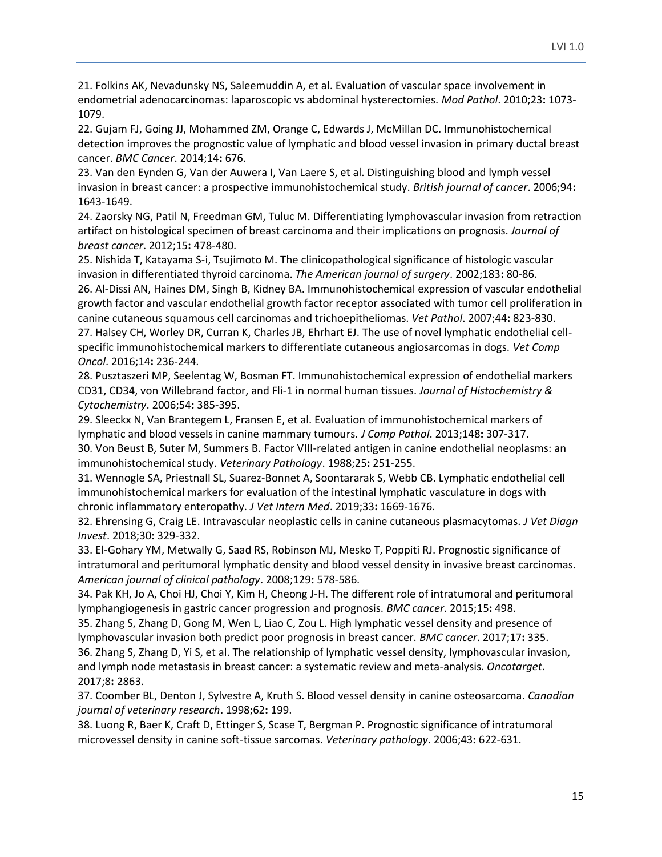21. Folkins AK, Nevadunsky NS, Saleemuddin A, et al. Evaluation of vascular space involvement in endometrial adenocarcinomas: laparoscopic vs abdominal hysterectomies. *Mod Pathol*. 2010;23**:** 1073- 1079.

22. Gujam FJ, Going JJ, Mohammed ZM, Orange C, Edwards J, McMillan DC. Immunohistochemical detection improves the prognostic value of lymphatic and blood vessel invasion in primary ductal breast cancer. *BMC Cancer*. 2014;14**:** 676.

23. Van den Eynden G, Van der Auwera I, Van Laere S, et al. Distinguishing blood and lymph vessel invasion in breast cancer: a prospective immunohistochemical study. *British journal of cancer*. 2006;94**:**  1643-1649.

24. Zaorsky NG, Patil N, Freedman GM, Tuluc M. Differentiating lymphovascular invasion from retraction artifact on histological specimen of breast carcinoma and their implications on prognosis. *Journal of breast cancer*. 2012;15**:** 478-480.

25. Nishida T, Katayama S-i, Tsujimoto M. The clinicopathological significance of histologic vascular invasion in differentiated thyroid carcinoma. *The American journal of surgery*. 2002;183**:** 80-86. 26. Al-Dissi AN, Haines DM, Singh B, Kidney BA. Immunohistochemical expression of vascular endothelial growth factor and vascular endothelial growth factor receptor associated with tumor cell proliferation in canine cutaneous squamous cell carcinomas and trichoepitheliomas. *Vet Pathol*. 2007;44**:** 823-830. 27. Halsey CH, Worley DR, Curran K, Charles JB, Ehrhart EJ. The use of novel lymphatic endothelial cellspecific immunohistochemical markers to differentiate cutaneous angiosarcomas in dogs. *Vet Comp* 

*Oncol*. 2016;14**:** 236-244.

28. Pusztaszeri MP, Seelentag W, Bosman FT. Immunohistochemical expression of endothelial markers CD31, CD34, von Willebrand factor, and Fli-1 in normal human tissues. *Journal of Histochemistry & Cytochemistry*. 2006;54**:** 385-395.

29. Sleeckx N, Van Brantegem L, Fransen E, et al. Evaluation of immunohistochemical markers of lymphatic and blood vessels in canine mammary tumours. *J Comp Pathol*. 2013;148**:** 307-317. 30. Von Beust B, Suter M, Summers B. Factor VIII-related antigen in canine endothelial neoplasms: an immunohistochemical study. *Veterinary Pathology*. 1988;25**:** 251-255.

31. Wennogle SA, Priestnall SL, Suarez-Bonnet A, Soontararak S, Webb CB. Lymphatic endothelial cell immunohistochemical markers for evaluation of the intestinal lymphatic vasculature in dogs with chronic inflammatory enteropathy. *J Vet Intern Med*. 2019;33**:** 1669-1676.

32. Ehrensing G, Craig LE. Intravascular neoplastic cells in canine cutaneous plasmacytomas. *J Vet Diagn Invest*. 2018;30**:** 329-332.

33. El-Gohary YM, Metwally G, Saad RS, Robinson MJ, Mesko T, Poppiti RJ. Prognostic significance of intratumoral and peritumoral lymphatic density and blood vessel density in invasive breast carcinomas. *American journal of clinical pathology*. 2008;129**:** 578-586.

34. Pak KH, Jo A, Choi HJ, Choi Y, Kim H, Cheong J-H. The different role of intratumoral and peritumoral lymphangiogenesis in gastric cancer progression and prognosis. *BMC cancer*. 2015;15**:** 498.

35. Zhang S, Zhang D, Gong M, Wen L, Liao C, Zou L. High lymphatic vessel density and presence of lymphovascular invasion both predict poor prognosis in breast cancer. *BMC cancer*. 2017;17**:** 335.

36. Zhang S, Zhang D, Yi S, et al. The relationship of lymphatic vessel density, lymphovascular invasion, and lymph node metastasis in breast cancer: a systematic review and meta-analysis. *Oncotarget*. 2017;8**:** 2863.

37. Coomber BL, Denton J, Sylvestre A, Kruth S. Blood vessel density in canine osteosarcoma. *Canadian journal of veterinary research*. 1998;62**:** 199.

38. Luong R, Baer K, Craft D, Ettinger S, Scase T, Bergman P. Prognostic significance of intratumoral microvessel density in canine soft-tissue sarcomas. *Veterinary pathology*. 2006;43**:** 622-631.